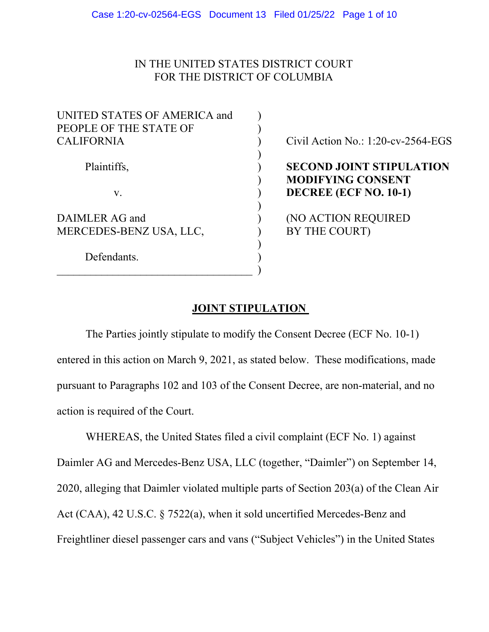# IN THE UNITED STATES DISTRICT COURT FOR THE DISTRICT OF COLUMBIA

| UNITED STATES OF AMERICA and |  |
|------------------------------|--|
| PEOPLE OF THE STATE OF       |  |
| <b>CALIFORNIA</b>            |  |
|                              |  |
| Plaintiffs,                  |  |
|                              |  |
| $V_{\rm A}$                  |  |
|                              |  |
| DAIMLER AG and               |  |
| MERCEDES-BENZ USA, LLC,      |  |
|                              |  |
| Defendants.                  |  |
|                              |  |

Civil Action No.:  $1:20$ -cv-2564-EGS

# **SECOND JOINT STIPULATION**  ) **MODIFYING CONSENT**  v. ) **DECREE (ECF NO. 10-1)**

(NO ACTION REQUIRED BY THE COURT)

## **JOINT STIPULATION**

 The Parties jointly stipulate to modify the Consent Decree (ECF No. 10-1) entered in this action on March 9, 2021, as stated below. These modifications, made pursuant to Paragraphs 102 and 103 of the Consent Decree, are non-material, and no action is required of the Court.

 WHEREAS, the United States filed a civil complaint (ECF No. 1) against Daimler AG and Mercedes-Benz USA, LLC (together, "Daimler") on September 14, 2020, alleging that Daimler violated multiple parts of Section 203(a) of the Clean Air Act (CAA), 42 U.S.C. § 7522(a), when it sold uncertified Mercedes-Benz and Freightliner diesel passenger cars and vans ("Subject Vehicles") in the United States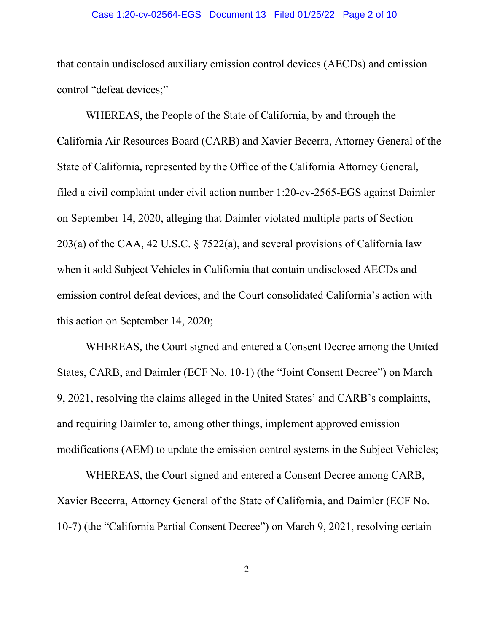#### Case 1:20-cv-02564-EGS Document 13 Filed 01/25/22 Page 2 of 10

that contain undisclosed auxiliary emission control devices (AECDs) and emission control "defeat devices;"

WHEREAS, the People of the State of California, by and through the California Air Resources Board (CARB) and Xavier Becerra, Attorney General of the State of California, represented by the Office of the California Attorney General, filed a civil complaint under civil action number 1:20-cv-2565-EGS against Daimler on September 14, 2020, alleging that Daimler violated multiple parts of Section 203(a) of the CAA, 42 U.S.C. § 7522(a), and several provisions of California law when it sold Subject Vehicles in California that contain undisclosed AECDs and emission control defeat devices, and the Court consolidated California's action with this action on September 14, 2020;

WHEREAS, the Court signed and entered a Consent Decree among the United States, CARB, and Daimler (ECF No. 10-1) (the "Joint Consent Decree") on March 9, 2021, resolving the claims alleged in the United States' and CARB's complaints, and requiring Daimler to, among other things, implement approved emission modifications (AEM) to update the emission control systems in the Subject Vehicles;

WHEREAS, the Court signed and entered a Consent Decree among CARB, Xavier Becerra, Attorney General of the State of California, and Daimler (ECF No. 10-7) (the "California Partial Consent Decree") on March 9, 2021, resolving certain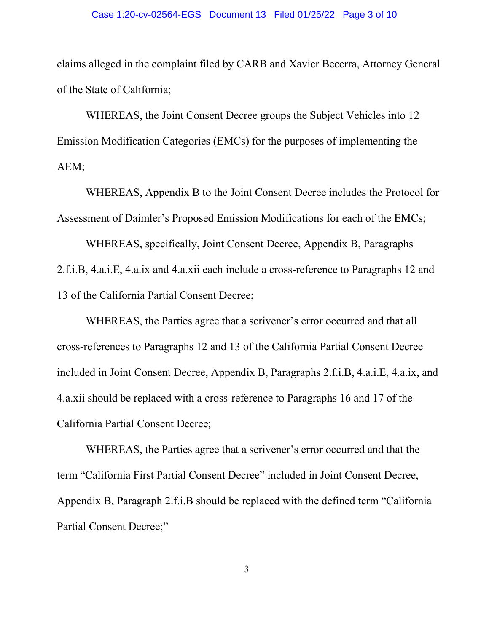#### Case 1:20-cv-02564-EGS Document 13 Filed 01/25/22 Page 3 of 10

claims alleged in the complaint filed by CARB and Xavier Becerra, Attorney General of the State of California;

WHEREAS, the Joint Consent Decree groups the Subject Vehicles into 12 Emission Modification Categories (EMCs) for the purposes of implementing the AEM;

WHEREAS, Appendix B to the Joint Consent Decree includes the Protocol for Assessment of Daimler's Proposed Emission Modifications for each of the EMCs;

WHEREAS, specifically, Joint Consent Decree, Appendix B, Paragraphs 2.f.i.B, 4.a.i.E, 4.a.ix and 4.a.xii each include a cross-reference to Paragraphs 12 and 13 of the California Partial Consent Decree;

WHEREAS, the Parties agree that a scrivener's error occurred and that all cross-references to Paragraphs 12 and 13 of the California Partial Consent Decree included in Joint Consent Decree, Appendix B, Paragraphs 2.f.i.B, 4.a.i.E, 4.a.ix, and 4.a.xii should be replaced with a cross-reference to Paragraphs 16 and 17 of the California Partial Consent Decree;

WHEREAS, the Parties agree that a scrivener's error occurred and that the term "California First Partial Consent Decree" included in Joint Consent Decree, Appendix B, Paragraph 2.f.i.B should be replaced with the defined term "California Partial Consent Decree;"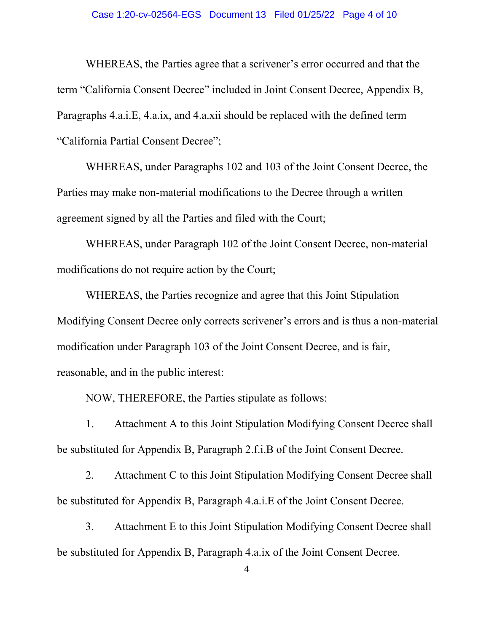#### Case 1:20-cv-02564-EGS Document 13 Filed 01/25/22 Page 4 of 10

WHEREAS, the Parties agree that a scrivener's error occurred and that the term "California Consent Decree" included in Joint Consent Decree, Appendix B, Paragraphs 4.a.i.E, 4.a.ix, and 4.a.xii should be replaced with the defined term "California Partial Consent Decree";

WHEREAS, under Paragraphs 102 and 103 of the Joint Consent Decree, the Parties may make non-material modifications to the Decree through a written agreement signed by all the Parties and filed with the Court;

WHEREAS, under Paragraph 102 of the Joint Consent Decree, non-material modifications do not require action by the Court;

WHEREAS, the Parties recognize and agree that this Joint Stipulation Modifying Consent Decree only corrects scrivener's errors and is thus a non-material modification under Paragraph 103 of the Joint Consent Decree, and is fair, reasonable, and in the public interest:

NOW, THEREFORE, the Parties stipulate as follows:

1. Attachment A to this Joint Stipulation Modifying Consent Decree shall be substituted for Appendix B, Paragraph 2.f.i.B of the Joint Consent Decree.

2. Attachment C to this Joint Stipulation Modifying Consent Decree shall be substituted for Appendix B, Paragraph 4.a.i.E of the Joint Consent Decree.

3. Attachment E to this Joint Stipulation Modifying Consent Decree shall be substituted for Appendix B, Paragraph 4.a.ix of the Joint Consent Decree.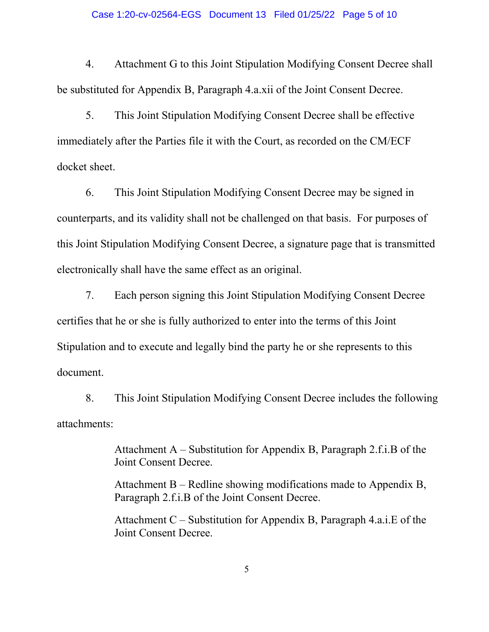#### Case 1:20-cv-02564-EGS Document 13 Filed 01/25/22 Page 5 of 10

4. Attachment G to this Joint Stipulation Modifying Consent Decree shall be substituted for Appendix B, Paragraph 4.a.xii of the Joint Consent Decree.

5. This Joint Stipulation Modifying Consent Decree shall be effective immediately after the Parties file it with the Court, as recorded on the CM/ECF docket sheet.

6. This Joint Stipulation Modifying Consent Decree may be signed in counterparts, and its validity shall not be challenged on that basis. For purposes of this Joint Stipulation Modifying Consent Decree, a signature page that is transmitted electronically shall have the same effect as an original.

7. Each person signing this Joint Stipulation Modifying Consent Decree certifies that he or she is fully authorized to enter into the terms of this Joint Stipulation and to execute and legally bind the party he or she represents to this document.

8. This Joint Stipulation Modifying Consent Decree includes the following attachments:

> Attachment A – Substitution for Appendix B, Paragraph 2.f.i.B of the Joint Consent Decree.

> Attachment B – Redline showing modifications made to Appendix B, Paragraph 2.f.i.B of the Joint Consent Decree.

> Attachment C – Substitution for Appendix B, Paragraph 4.a.i.E of the Joint Consent Decree.

> > 5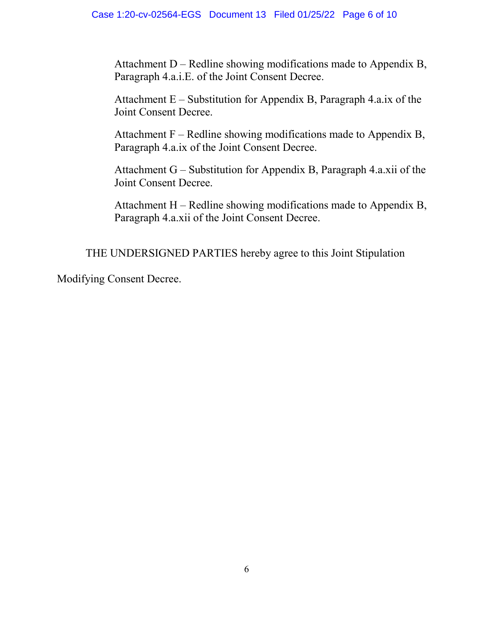Attachment  $D -$  Redline showing modifications made to Appendix B, Paragraph 4.a.i.E. of the Joint Consent Decree.

Attachment E – Substitution for Appendix B, Paragraph 4.a.ix of the Joint Consent Decree.

Attachment  $F - Redline$  showing modifications made to Appendix B, Paragraph 4.a.ix of the Joint Consent Decree.

Attachment G – Substitution for Appendix B, Paragraph 4.a.xii of the Joint Consent Decree.

Attachment H – Redline showing modifications made to Appendix B, Paragraph 4.a.xii of the Joint Consent Decree.

THE UNDERSIGNED PARTIES hereby agree to this Joint Stipulation

Modifying Consent Decree.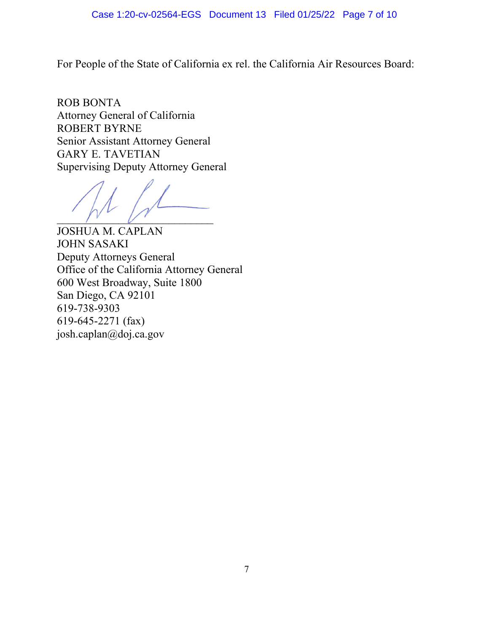### Case 1:20-cv-02564-EGS Document 13 Filed 01/25/22 Page 7 of 10

For People of the State of California ex rel. the California Air Resources Board:

ROB BONTA Attorney General of California ROBERT BYRNE Senior Assistant Attorney General GARY E. TAVETIAN Supervising Deputy Attorney General

 $\overline{V}$ 

JOSHUA M. CAPLAN JOHN SASAKI Deputy Attorneys General Office of the California Attorney General 600 West Broadway, Suite 1800 San Diego, CA 92101 619-738-9303 619-645-2271 (fax) josh.caplan@doj.ca.gov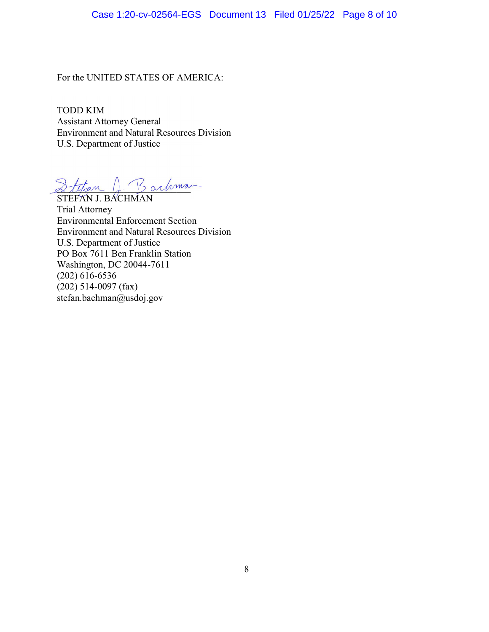### Case 1:20-cv-02564-EGS Document 13 Filed 01/25/22 Page 8 of 10

For the UNITED STATES OF AMERICA:

TODD KIM Assistant Attorney General Environment and Natural Resources Division U.S. Department of Justice

 $2t$ tan J. Bachman

STEFAN J. BACHMAN Trial Attorney Environmental Enforcement Section Environment and Natural Resources Division U.S. Department of Justice PO Box 7611 Ben Franklin Station Washington, DC 20044-7611 (202) 616-6536  $(202)$  514-0097 (fax) stefan.bachman@usdoj.gov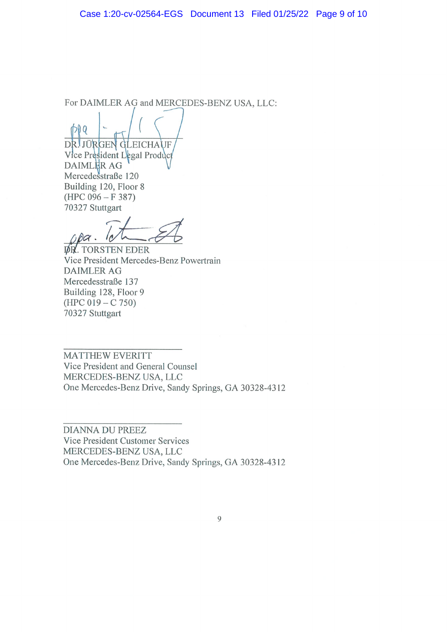For DAIMLER AG and MERCEDES-BENZ USA, LLC:

 $DQ$ DRI JÜRGEN GLEICHAUF

Vice President Legal Product DAIMLER AG Mercedesstraße 120 Building 120, Floor 8  $(HPC 096 - F 387)$ 70327 Stuttgart

 $\overline{P}$ 

**DR. TORSTEN EDER** Vice President Mercedes-Benz Powertrain **DAIMLER AG** Mercedesstraße 137 Building 128, Floor 9  $(HPC 019 - C 750)$ 70327 Stuttgart

MATTHEW EVERITT Vice President and General Counsel MERCEDES-BENZ USA, LLC One Mercedes-Benz Drive, Sandy Springs, GA 30328-4312

**DIANNA DU PREEZ** Vice President Customer Services MERCEDES-BENZ USA, LLC One Mercedes-Benz Drive, Sandy Springs, GA 30328-4312